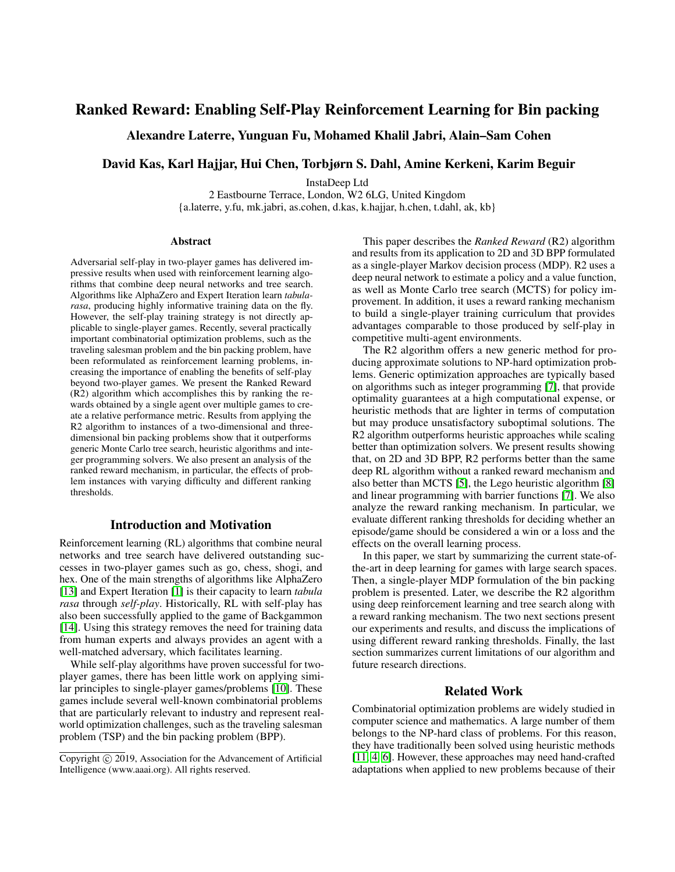# Ranked Reward: Enabling Self-Play Reinforcement Learning for Bin packing

Alexandre Laterre, Yunguan Fu, Mohamed Khalil Jabri, Alain–Sam Cohen

## David Kas, Karl Hajjar, Hui Chen, Torbjørn S. Dahl, Amine Kerkeni, Karim Beguir

InstaDeep Ltd

2 Eastbourne Terrace, London, W2 6LG, United Kingdom {a.laterre, y.fu, mk.jabri, as.cohen, d.kas, k.hajjar, h.chen, t.dahl, ak, kb}

#### **Abstract**

Adversarial self-play in two-player games has delivered impressive results when used with reinforcement learning algorithms that combine deep neural networks and tree search. Algorithms like AlphaZero and Expert Iteration learn *tabularasa*, producing highly informative training data on the fly. However, the self-play training strategy is not directly applicable to single-player games. Recently, several practically important combinatorial optimization problems, such as the traveling salesman problem and the bin packing problem, have been reformulated as reinforcement learning problems, increasing the importance of enabling the benefits of self-play beyond two-player games. We present the Ranked Reward (R2) algorithm which accomplishes this by ranking the rewards obtained by a single agent over multiple games to create a relative performance metric. Results from applying the R2 algorithm to instances of a two-dimensional and threedimensional bin packing problems show that it outperforms generic Monte Carlo tree search, heuristic algorithms and integer programming solvers. We also present an analysis of the ranked reward mechanism, in particular, the effects of problem instances with varying difficulty and different ranking thresholds.

## Introduction and Motivation

Reinforcement learning (RL) algorithms that combine neural networks and tree search have delivered outstanding successes in two-player games such as go, chess, shogi, and hex. One of the main strengths of algorithms like AlphaZero [\[13\]](#page-7-0) and Expert Iteration [\[1\]](#page-7-1) is their capacity to learn *tabula rasa* through *self-play*. Historically, RL with self-play has also been successfully applied to the game of Backgammon [\[14\]](#page-7-2). Using this strategy removes the need for training data from human experts and always provides an agent with a well-matched adversary, which facilitates learning.

While self-play algorithms have proven successful for twoplayer games, there has been little work on applying similar principles to single-player games/problems [\[10\]](#page-7-3). These games include several well-known combinatorial problems that are particularly relevant to industry and represent realworld optimization challenges, such as the traveling salesman problem (TSP) and the bin packing problem (BPP).

This paper describes the *Ranked Reward* (R2) algorithm and results from its application to 2D and 3D BPP formulated as a single-player Markov decision process (MDP). R2 uses a deep neural network to estimate a policy and a value function, as well as Monte Carlo tree search (MCTS) for policy improvement. In addition, it uses a reward ranking mechanism to build a single-player training curriculum that provides advantages comparable to those produced by self-play in competitive multi-agent environments.

The R2 algorithm offers a new generic method for producing approximate solutions to NP-hard optimization problems. Generic optimization approaches are typically based on algorithms such as integer programming [\[7\]](#page-7-4), that provide optimality guarantees at a high computational expense, or heuristic methods that are lighter in terms of computation but may produce unsatisfactory suboptimal solutions. The R2 algorithm outperforms heuristic approaches while scaling better than optimization solvers. We present results showing that, on 2D and 3D BPP, R2 performs better than the same deep RL algorithm without a ranked reward mechanism and also better than MCTS [\[5\]](#page-7-5), the Lego heuristic algorithm [\[8\]](#page-7-6) and linear programming with barrier functions [\[7\]](#page-7-4). We also analyze the reward ranking mechanism. In particular, we evaluate different ranking thresholds for deciding whether an episode/game should be considered a win or a loss and the effects on the overall learning process.

In this paper, we start by summarizing the current state-ofthe-art in deep learning for games with large search spaces. Then, a single-player MDP formulation of the bin packing problem is presented. Later, we describe the R2 algorithm using deep reinforcement learning and tree search along with a reward ranking mechanism. The two next sections present our experiments and results, and discuss the implications of using different reward ranking thresholds. Finally, the last section summarizes current limitations of our algorithm and future research directions.

## Related Work

Combinatorial optimization problems are widely studied in computer science and mathematics. A large number of them belongs to the NP-hard class of problems. For this reason, they have traditionally been solved using heuristic methods [\[11,](#page-7-7) [4,](#page-7-8) [6\]](#page-7-9). However, these approaches may need hand-crafted adaptations when applied to new problems because of their

Copyright  $\odot$  2019, Association for the Advancement of Artificial Intelligence (www.aaai.org). All rights reserved.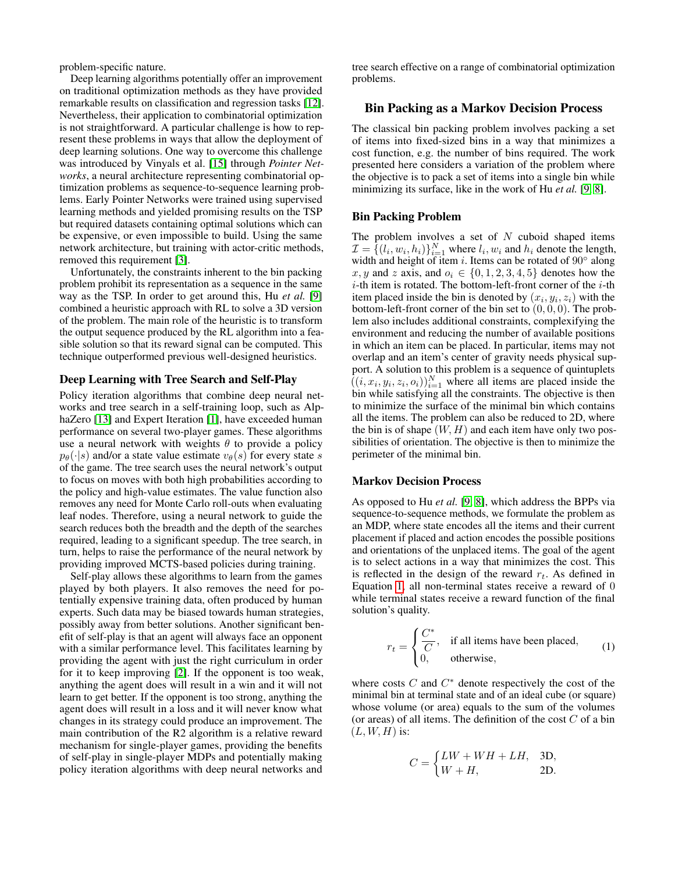problem-specific nature.

Deep learning algorithms potentially offer an improvement on traditional optimization methods as they have provided remarkable results on classification and regression tasks [\[12\]](#page-7-10). Nevertheless, their application to combinatorial optimization is not straightforward. A particular challenge is how to represent these problems in ways that allow the deployment of deep learning solutions. One way to overcome this challenge was introduced by Vinyals et al. [\[15\]](#page-7-11) through *Pointer Networks*, a neural architecture representing combinatorial optimization problems as sequence-to-sequence learning problems. Early Pointer Networks were trained using supervised learning methods and yielded promising results on the TSP but required datasets containing optimal solutions which can be expensive, or even impossible to build. Using the same network architecture, but training with actor-critic methods, removed this requirement [\[3\]](#page-7-12).

Unfortunately, the constraints inherent to the bin packing problem prohibit its representation as a sequence in the same way as the TSP. In order to get around this, Hu *et al.* [\[9\]](#page-7-13) combined a heuristic approach with RL to solve a 3D version of the problem. The main role of the heuristic is to transform the output sequence produced by the RL algorithm into a feasible solution so that its reward signal can be computed. This technique outperformed previous well-designed heuristics.

#### Deep Learning with Tree Search and Self-Play

Policy iteration algorithms that combine deep neural networks and tree search in a self-training loop, such as Alp-haZero [\[13\]](#page-7-0) and Expert Iteration [\[1\]](#page-7-1), have exceeded human performance on several two-player games. These algorithms use a neural network with weights  $\theta$  to provide a policy  $p_{\theta}(\cdot|s)$  and/or a state value estimate  $v_{\theta}(s)$  for every state s of the game. The tree search uses the neural network's output to focus on moves with both high probabilities according to the policy and high-value estimates. The value function also removes any need for Monte Carlo roll-outs when evaluating leaf nodes. Therefore, using a neural network to guide the search reduces both the breadth and the depth of the searches required, leading to a significant speedup. The tree search, in turn, helps to raise the performance of the neural network by providing improved MCTS-based policies during training.

Self-play allows these algorithms to learn from the games played by both players. It also removes the need for potentially expensive training data, often produced by human experts. Such data may be biased towards human strategies, possibly away from better solutions. Another significant benefit of self-play is that an agent will always face an opponent with a similar performance level. This facilitates learning by providing the agent with just the right curriculum in order for it to keep improving [\[2\]](#page-7-14). If the opponent is too weak, anything the agent does will result in a win and it will not learn to get better. If the opponent is too strong, anything the agent does will result in a loss and it will never know what changes in its strategy could produce an improvement. The main contribution of the R2 algorithm is a relative reward mechanism for single-player games, providing the benefits of self-play in single-player MDPs and potentially making policy iteration algorithms with deep neural networks and

tree search effective on a range of combinatorial optimization problems.

### Bin Packing as a Markov Decision Process

The classical bin packing problem involves packing a set of items into fixed-sized bins in a way that minimizes a cost function, e.g. the number of bins required. The work presented here considers a variation of the problem where the objective is to pack a set of items into a single bin while minimizing its surface, like in the work of Hu *et al.* [\[9,](#page-7-13) [8\]](#page-7-6).

## Bin Packing Problem

The problem involves a set of  $N$  cuboid shaped items  $\mathcal{I} = \{ (l_i, w_i, h_i) \}_{i=1}^N$  where  $l_i, w_i$  and  $h_i$  denote the length, width and height of item i. Items can be rotated of  $90^\circ$  along x, y and z axis, and  $o_i \in \{0, 1, 2, 3, 4, 5\}$  denotes how the  $i$ -th item is rotated. The bottom-left-front corner of the  $i$ -th item placed inside the bin is denoted by  $(x_i, y_i, z_i)$  with the bottom-left-front corner of the bin set to  $(0, 0, 0)$ . The problem also includes additional constraints, complexifying the environment and reducing the number of available positions in which an item can be placed. In particular, items may not overlap and an item's center of gravity needs physical support. A solution to this problem is a sequence of quintuplets  $((i, x_i, y_i, z_i, o_i))_{i=1}^N$  where all items are placed inside the bin while satisfying all the constraints. The objective is then to minimize the surface of the minimal bin which contains all the items. The problem can also be reduced to 2D, where the bin is of shape  $(W, H)$  and each item have only two possibilities of orientation. The objective is then to minimize the perimeter of the minimal bin.

#### Markov Decision Process

As opposed to Hu *et al.* [\[9,](#page-7-13) [8\]](#page-7-6), which address the BPPs via sequence-to-sequence methods, we formulate the problem as an MDP, where state encodes all the items and their current placement if placed and action encodes the possible positions and orientations of the unplaced items. The goal of the agent is to select actions in a way that minimizes the cost. This is reflected in the design of the reward  $r_t$ . As defined in Equation [1,](#page-1-0) all non-terminal states receive a reward of 0 while terminal states receive a reward function of the final solution's quality.

<span id="page-1-0"></span>
$$
r_t = \begin{cases} \frac{C^*}{C}, & \text{if all items have been placed,} \\ 0, & \text{otherwise,} \end{cases}
$$
 (1)

where costs  $C$  and  $C^*$  denote respectively the cost of the minimal bin at terminal state and of an ideal cube (or square) whose volume (or area) equals to the sum of the volumes (or areas) of all items. The definition of the cost  $C$  of a bin  $(L, W, H)$  is:

$$
C = \begin{cases} LW + WH + LH, & \text{3D,} \\ W + H, & \text{2D.} \end{cases}
$$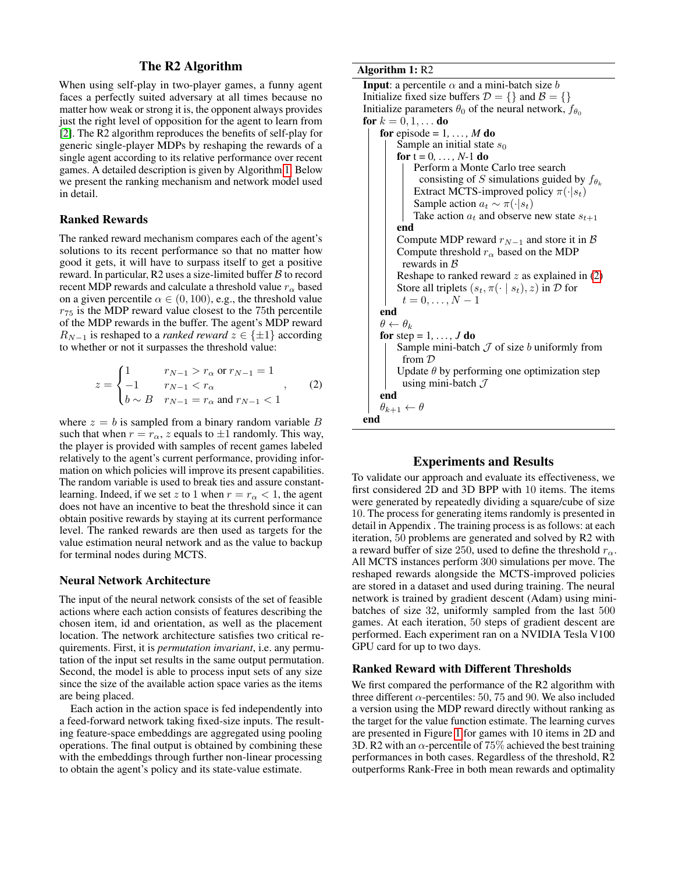## The R2 Algorithm

When using self-play in two-player games, a funny agent faces a perfectly suited adversary at all times because no matter how weak or strong it is, the opponent always provides just the right level of opposition for the agent to learn from [\[2\]](#page-7-14). The R2 algorithm reproduces the benefits of self-play for generic single-player MDPs by reshaping the rewards of a single agent according to its relative performance over recent games. A detailed description is given by Algorithm [1.](#page-2-0) Below we present the ranking mechanism and network model used in detail.

## Ranked Rewards

The ranked reward mechanism compares each of the agent's solutions to its recent performance so that no matter how good it gets, it will have to surpass itself to get a positive reward. In particular, R2 uses a size-limited buffer  $\beta$  to record recent MDP rewards and calculate a threshold value  $r_{\alpha}$  based on a given percentile  $\alpha \in (0, 100)$ , e.g., the threshold value  $r_{75}$  is the MDP reward value closest to the 75th percentile of the MDP rewards in the buffer. The agent's MDP reward  $R_{N-1}$  is reshaped to a *ranked reward*  $z \in \{\pm 1\}$  according to whether or not it surpasses the threshold value:

$$
z = \begin{cases} 1 & r_{N-1} > r_{\alpha} \text{ or } r_{N-1} = 1 \\ -1 & r_{N-1} < r_{\alpha} \\ b \sim B & r_{N-1} = r_{\alpha} \text{ and } r_{N-1} < 1 \end{cases}
$$
 (2)

where  $z = b$  is sampled from a binary random variable B such that when  $r = r_{\alpha}$ , z equals to  $\pm 1$  randomly. This way, the player is provided with samples of recent games labeled relatively to the agent's current performance, providing information on which policies will improve its present capabilities. The random variable is used to break ties and assure constantlearning. Indeed, if we set z to 1 when  $r = r_\alpha < 1$ , the agent does not have an incentive to beat the threshold since it can obtain positive rewards by staying at its current performance level. The ranked rewards are then used as targets for the value estimation neural network and as the value to backup for terminal nodes during MCTS.

#### Neural Network Architecture

The input of the neural network consists of the set of feasible actions where each action consists of features describing the chosen item, id and orientation, as well as the placement location. The network architecture satisfies two critical requirements. First, it is *permutation invariant*, i.e. any permutation of the input set results in the same output permutation. Second, the model is able to process input sets of any size since the size of the available action space varies as the items are being placed.

Each action in the action space is fed independently into a feed-forward network taking fixed-size inputs. The resulting feature-space embeddings are aggregated using pooling operations. The final output is obtained by combining these with the embeddings through further non-linear processing to obtain the agent's policy and its state-value estimate.

### Algorithm 1: R2

```
Input: a percentile \alpha and a mini-batch size b
Initialize fixed size buffers \mathcal{D} = \{\} and \mathcal{B} = \{\}Initialize parameters \theta_0 of the neural network, f_{\theta_0}for k = 0, 1, ... do
    for episode = 1, \ldots, M do
         Sample an initial state s_0for t = 0, ..., N-1 do
             Perform a Monte Carlo tree search
               consisting of S simulations guided by f_{\theta_k}Extract MCTS-improved policy \pi(\cdot|s_t)Sample action a_t \sim \pi(\cdot|s_t)Take action a_t and observe new state s_{t+1}end
         Compute MDP reward r_{N-1} and store it in B
         Compute threshold r_{\alpha} based on the MDP
          rewards in BReshape to ranked reward z as explained in (2)Store all triplets (s_t, \pi(\cdot \mid s_t), z) in \mathcal D for
          t = 0, \ldots, N - 1end
    \theta \leftarrow \theta_kfor step = 1, \ldots, J do
         Sample mini-batch J of size b uniformly from
          from D
         Update \theta by performing one optimization step
          using mini-batch \mathcal Jend
    \theta_{k+1} \leftarrow \thetaend
```
## Experiments and Results

<span id="page-2-1"></span><span id="page-2-0"></span>To validate our approach and evaluate its effectiveness, we first considered 2D and 3D BPP with 10 items. The items were generated by repeatedly dividing a square/cube of size 10. The process for generating items randomly is presented in detail in Appendix . The training process is as follows: at each iteration, 50 problems are generated and solved by R2 with a reward buffer of size 250, used to define the threshold  $r_{\alpha}$ . All MCTS instances perform 300 simulations per move. The reshaped rewards alongside the MCTS-improved policies are stored in a dataset and used during training. The neural network is trained by gradient descent (Adam) using minibatches of size 32, uniformly sampled from the last 500 games. At each iteration, 50 steps of gradient descent are performed. Each experiment ran on a NVIDIA Tesla V100 GPU card for up to two days.

## Ranked Reward with Different Thresholds

We first compared the performance of the R2 algorithm with three different  $\alpha$ -percentiles: 50, 75 and 90. We also included a version using the MDP reward directly without ranking as the target for the value function estimate. The learning curves are presented in Figure [1](#page-3-0) for games with 10 items in 2D and 3D. R2 with an  $\alpha$ -percentile of 75% achieved the best training performances in both cases. Regardless of the threshold, R2 outperforms Rank-Free in both mean rewards and optimality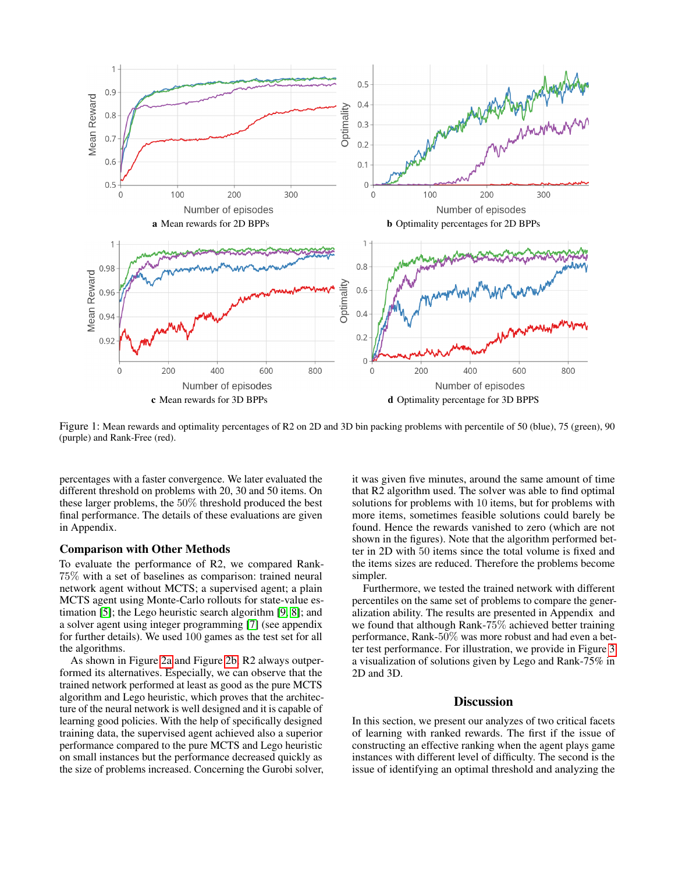<span id="page-3-0"></span>

Figure 1: Mean rewards and optimality percentages of R2 on 2D and 3D bin packing problems with percentile of 50 (blue), 75 (green), 90 (purple) and Rank-Free (red).

percentages with a faster convergence. We later evaluated the different threshold on problems with 20, 30 and 50 items. On these larger problems, the 50% threshold produced the best final performance. The details of these evaluations are given in Appendix.

## Comparison with Other Methods

To evaluate the performance of R2, we compared Rank-75% with a set of baselines as comparison: trained neural network agent without MCTS; a supervised agent; a plain MCTS agent using Monte-Carlo rollouts for state-value estimation [\[5\]](#page-7-5); the Lego heuristic search algorithm [\[9,](#page-7-13) [8\]](#page-7-6); and a solver agent using integer programming [\[7\]](#page-7-4) (see appendix for further details). We used 100 games as the test set for all the algorithms.

As shown in Figure [2a](#page-4-0) and Figure [2b,](#page-4-1) R2 always outperformed its alternatives. Especially, we can observe that the trained network performed at least as good as the pure MCTS algorithm and Lego heuristic, which proves that the architecture of the neural network is well designed and it is capable of learning good policies. With the help of specifically designed training data, the supervised agent achieved also a superior performance compared to the pure MCTS and Lego heuristic on small instances but the performance decreased quickly as the size of problems increased. Concerning the Gurobi solver, it was given five minutes, around the same amount of time that R2 algorithm used. The solver was able to find optimal solutions for problems with 10 items, but for problems with more items, sometimes feasible solutions could barely be found. Hence the rewards vanished to zero (which are not shown in the figures). Note that the algorithm performed better in 2D with 50 items since the total volume is fixed and the items sizes are reduced. Therefore the problems become simpler.

Furthermore, we tested the trained network with different percentiles on the same set of problems to compare the generalization ability. The results are presented in Appendix and we found that although Rank-75% achieved better training performance, Rank-50% was more robust and had even a better test performance. For illustration, we provide in Figure [3](#page-5-0) a visualization of solutions given by Lego and Rank-75% in 2D and 3D.

## **Discussion**

In this section, we present our analyzes of two critical facets of learning with ranked rewards. The first if the issue of constructing an effective ranking when the agent plays game instances with different level of difficulty. The second is the issue of identifying an optimal threshold and analyzing the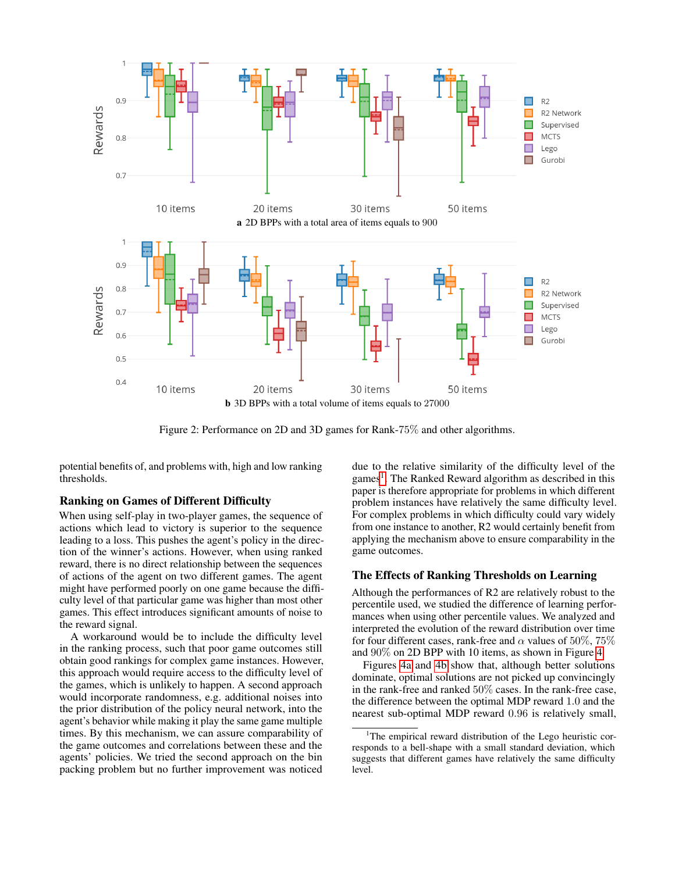<span id="page-4-0"></span>

<span id="page-4-1"></span>Figure 2: Performance on 2D and 3D games for Rank-75% and other algorithms.

potential benefits of, and problems with, high and low ranking thresholds.

## Ranking on Games of Different Difficulty

When using self-play in two-player games, the sequence of actions which lead to victory is superior to the sequence leading to a loss. This pushes the agent's policy in the direction of the winner's actions. However, when using ranked reward, there is no direct relationship between the sequences of actions of the agent on two different games. The agent might have performed poorly on one game because the difficulty level of that particular game was higher than most other games. This effect introduces significant amounts of noise to the reward signal.

A workaround would be to include the difficulty level in the ranking process, such that poor game outcomes still obtain good rankings for complex game instances. However, this approach would require access to the difficulty level of the games, which is unlikely to happen. A second approach would incorporate randomness, e.g. additional noises into the prior distribution of the policy neural network, into the agent's behavior while making it play the same game multiple times. By this mechanism, we can assure comparability of the game outcomes and correlations between these and the agents' policies. We tried the second approach on the bin packing problem but no further improvement was noticed

due to the relative similarity of the difficulty level of the games<sup>[1](#page-4-2)</sup>. The Ranked Reward algorithm as described in this paper is therefore appropriate for problems in which different problem instances have relatively the same difficulty level. For complex problems in which difficulty could vary widely from one instance to another, R2 would certainly benefit from applying the mechanism above to ensure comparability in the game outcomes.

## The Effects of Ranking Thresholds on Learning

Although the performances of R2 are relatively robust to the percentile used, we studied the difference of learning performances when using other percentile values. We analyzed and interpreted the evolution of the reward distribution over time for four different cases, rank-free and  $\alpha$  values of 50%, 75% and 90% on 2D BPP with 10 items, as shown in Figure [4.](#page-5-1)

Figures [4a](#page-5-2) and [4b](#page-5-3) show that, although better solutions dominate, optimal solutions are not picked up convincingly in the rank-free and ranked 50% cases. In the rank-free case, the difference between the optimal MDP reward 1.0 and the nearest sub-optimal MDP reward 0.96 is relatively small,

<span id="page-4-2"></span><sup>&</sup>lt;sup>1</sup>The empirical reward distribution of the Lego heuristic corresponds to a bell-shape with a small standard deviation, which suggests that different games have relatively the same difficulty level.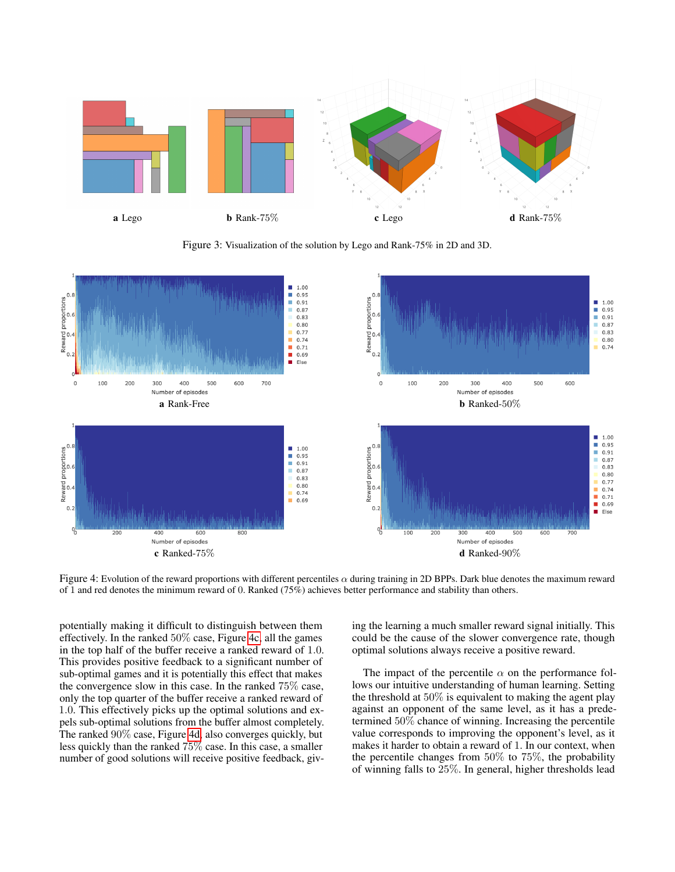<span id="page-5-0"></span>

<span id="page-5-3"></span>Figure 3: Visualization of the solution by Lego and Rank-75% in 2D and 3D.

<span id="page-5-2"></span><span id="page-5-1"></span>

<span id="page-5-4"></span>Figure 4: Evolution of the reward proportions with different percentiles  $\alpha$  during training in 2D BPPs. Dark blue denotes the maximum reward of 1 and red denotes the minimum reward of 0. Ranked (75%) achieves better performance and stability than others.

potentially making it difficult to distinguish between them effectively. In the ranked 50% case, Figure [4c,](#page-5-4) all the games in the top half of the buffer receive a ranked reward of 1.0. This provides positive feedback to a significant number of sub-optimal games and it is potentially this effect that makes the convergence slow in this case. In the ranked 75% case, only the top quarter of the buffer receive a ranked reward of 1.0. This effectively picks up the optimal solutions and expels sub-optimal solutions from the buffer almost completely. The ranked 90% case, Figure [4d,](#page-5-5) also converges quickly, but less quickly than the ranked 75% case. In this case, a smaller number of good solutions will receive positive feedback, giv<span id="page-5-5"></span>ing the learning a much smaller reward signal initially. This could be the cause of the slower convergence rate, though optimal solutions always receive a positive reward.

The impact of the percentile  $\alpha$  on the performance follows our intuitive understanding of human learning. Setting the threshold at  $50\%$  is equivalent to making the agent play against an opponent of the same level, as it has a predetermined 50% chance of winning. Increasing the percentile value corresponds to improving the opponent's level, as it makes it harder to obtain a reward of 1. In our context, when the percentile changes from 50% to 75%, the probability of winning falls to 25%. In general, higher thresholds lead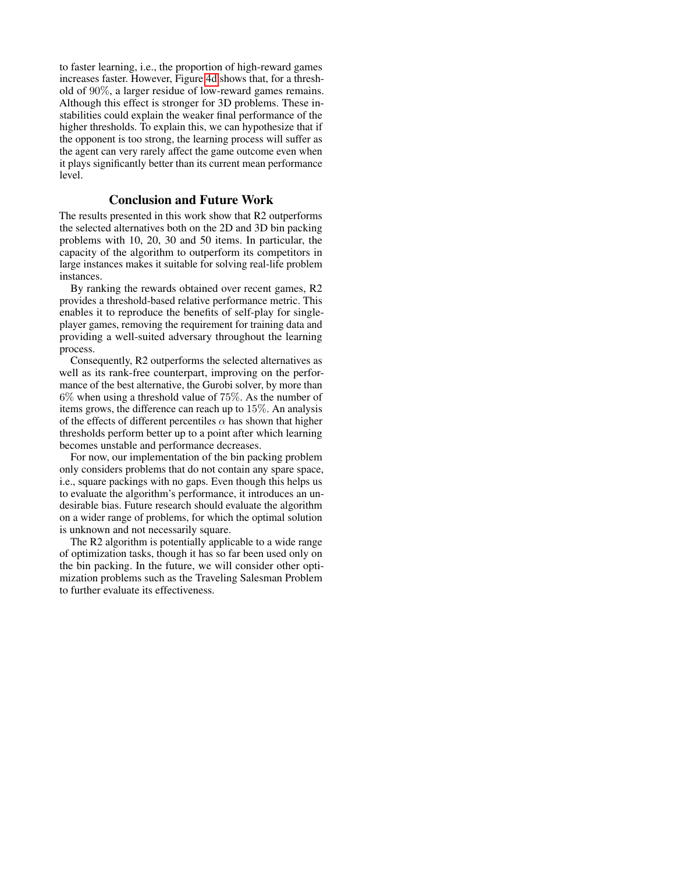to faster learning, i.e., the proportion of high-reward games increases faster. However, Figure [4d](#page-5-5) shows that, for a threshold of 90%, a larger residue of low-reward games remains. Although this effect is stronger for 3D problems. These instabilities could explain the weaker final performance of the higher thresholds. To explain this, we can hypothesize that if the opponent is too strong, the learning process will suffer as the agent can very rarely affect the game outcome even when it plays significantly better than its current mean performance level.

## Conclusion and Future Work

The results presented in this work show that R2 outperforms the selected alternatives both on the 2D and 3D bin packing problems with 10, 20, 30 and 50 items. In particular, the capacity of the algorithm to outperform its competitors in large instances makes it suitable for solving real-life problem instances.

By ranking the rewards obtained over recent games, R2 provides a threshold-based relative performance metric. This enables it to reproduce the benefits of self-play for singleplayer games, removing the requirement for training data and providing a well-suited adversary throughout the learning process.

Consequently, R2 outperforms the selected alternatives as well as its rank-free counterpart, improving on the performance of the best alternative, the Gurobi solver, by more than 6% when using a threshold value of 75%. As the number of items grows, the difference can reach up to 15%. An analysis of the effects of different percentiles  $\alpha$  has shown that higher thresholds perform better up to a point after which learning becomes unstable and performance decreases.

For now, our implementation of the bin packing problem only considers problems that do not contain any spare space, i.e., square packings with no gaps. Even though this helps us to evaluate the algorithm's performance, it introduces an undesirable bias. Future research should evaluate the algorithm on a wider range of problems, for which the optimal solution is unknown and not necessarily square.

The R2 algorithm is potentially applicable to a wide range of optimization tasks, though it has so far been used only on the bin packing. In the future, we will consider other optimization problems such as the Traveling Salesman Problem to further evaluate its effectiveness.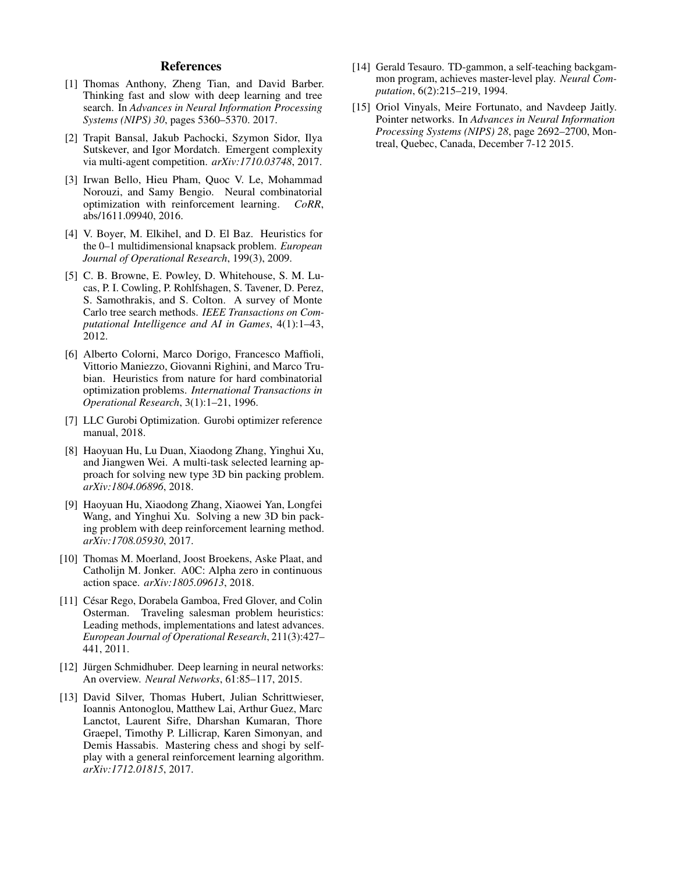### References

- <span id="page-7-1"></span>[1] Thomas Anthony, Zheng Tian, and David Barber. Thinking fast and slow with deep learning and tree search. In *Advances in Neural Information Processing Systems (NIPS) 30*, pages 5360–5370. 2017.
- <span id="page-7-14"></span>[2] Trapit Bansal, Jakub Pachocki, Szymon Sidor, Ilya Sutskever, and Igor Mordatch. Emergent complexity via multi-agent competition. *arXiv:1710.03748*, 2017.
- <span id="page-7-12"></span>[3] Irwan Bello, Hieu Pham, Quoc V. Le, Mohammad Norouzi, and Samy Bengio. Neural combinatorial<br>optimization with reinforcement learning. *CoRR*. optimization with reinforcement learning. abs/1611.09940, 2016.
- <span id="page-7-8"></span>[4] V. Boyer, M. Elkihel, and D. El Baz. Heuristics for the 0–1 multidimensional knapsack problem. *European Journal of Operational Research*, 199(3), 2009.
- <span id="page-7-5"></span>[5] C. B. Browne, E. Powley, D. Whitehouse, S. M. Lucas, P. I. Cowling, P. Rohlfshagen, S. Tavener, D. Perez, S. Samothrakis, and S. Colton. A survey of Monte Carlo tree search methods. *IEEE Transactions on Computational Intelligence and AI in Games*, 4(1):1–43, 2012.
- <span id="page-7-9"></span>[6] Alberto Colorni, Marco Dorigo, Francesco Maffioli, Vittorio Maniezzo, Giovanni Righini, and Marco Trubian. Heuristics from nature for hard combinatorial optimization problems. *International Transactions in Operational Research*, 3(1):1–21, 1996.
- <span id="page-7-4"></span>[7] LLC Gurobi Optimization. Gurobi optimizer reference manual, 2018.
- <span id="page-7-6"></span>[8] Haoyuan Hu, Lu Duan, Xiaodong Zhang, Yinghui Xu, and Jiangwen Wei. A multi-task selected learning approach for solving new type 3D bin packing problem. *arXiv:1804.06896*, 2018.
- <span id="page-7-13"></span>[9] Haoyuan Hu, Xiaodong Zhang, Xiaowei Yan, Longfei Wang, and Yinghui Xu. Solving a new 3D bin packing problem with deep reinforcement learning method. *arXiv:1708.05930*, 2017.
- <span id="page-7-3"></span>[10] Thomas M. Moerland, Joost Broekens, Aske Plaat, and Catholijn M. Jonker. A0C: Alpha zero in continuous action space. *arXiv:1805.09613*, 2018.
- <span id="page-7-7"></span>[11] César Rego, Dorabela Gamboa, Fred Glover, and Colin Osterman. Traveling salesman problem heuristics: Leading methods, implementations and latest advances. *European Journal of Operational Research*, 211(3):427– 441, 2011.
- <span id="page-7-10"></span>[12] Jürgen Schmidhuber. Deep learning in neural networks: An overview. *Neural Networks*, 61:85–117, 2015.
- <span id="page-7-0"></span>[13] David Silver, Thomas Hubert, Julian Schrittwieser, Ioannis Antonoglou, Matthew Lai, Arthur Guez, Marc Lanctot, Laurent Sifre, Dharshan Kumaran, Thore Graepel, Timothy P. Lillicrap, Karen Simonyan, and Demis Hassabis. Mastering chess and shogi by selfplay with a general reinforcement learning algorithm. *arXiv:1712.01815*, 2017.
- <span id="page-7-2"></span>[14] Gerald Tesauro. TD-gammon, a self-teaching backgammon program, achieves master-level play. *Neural Computation*, 6(2):215–219, 1994.
- <span id="page-7-11"></span>[15] Oriol Vinyals, Meire Fortunato, and Navdeep Jaitly. Pointer networks. In *Advances in Neural Information Processing Systems (NIPS) 28*, page 2692–2700, Montreal, Quebec, Canada, December 7-12 2015.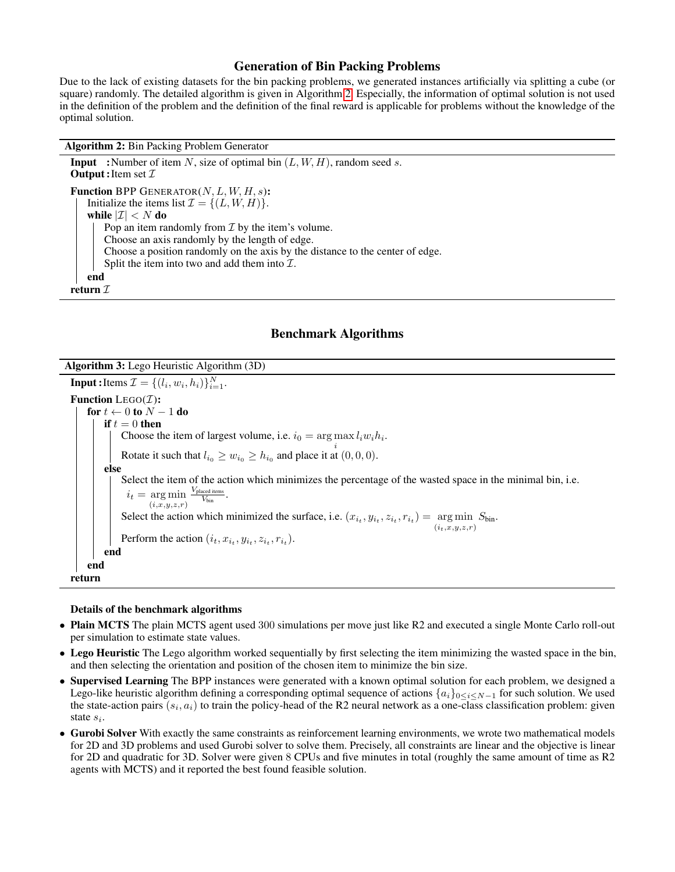## Generation of Bin Packing Problems

Due to the lack of existing datasets for the bin packing problems, we generated instances artificially via splitting a cube (or square) randomly. The detailed algorithm is given in Algorithm [2.](#page-8-0) Especially, the information of optimal solution is not used in the definition of the problem and the definition of the final reward is applicable for problems without the knowledge of the optimal solution.

Algorithm 2: Bin Packing Problem Generator

**Input** : Number of item N, size of optimal bin  $(L, W, H)$ , random seed s. **Output**: Item set  $I$ **Function BPP GENERATOR(N, L, W, H, s):** Initialize the items list  $\mathcal{I} = \{(L, W, H)\}.$ while  $|\mathcal{I}| < N$  do Pop an item randomly from  $\mathcal I$  by the item's volume. Choose an axis randomly by the length of edge. Choose a position randomly on the axis by the distance to the center of edge. Split the item into two and add them into  $\mathcal{I}$ . end return  $\mathcal I$ 

## Benchmark Algorithms

<span id="page-8-0"></span>Algorithm 3: Lego Heuristic Algorithm (3D)

**Input**: Items  $\mathcal{I} = \{(l_i, w_i, h_i)\}_{i=1}^N$ . Function LEGO $(\mathcal{I})$ : for  $t \leftarrow 0$  to  $N - 1$  do if  $t = 0$  then Choose the item of largest volume, i.e.  $i_0 = \arg \max_i l_i w_i h_i$ . Rotate it such that  $l_{i_0} \geq w_{i_0} \geq h_{i_0}$  and place it at  $(0, 0, 0)$ . else Select the item of the action which minimizes the percentage of the wasted space in the minimal bin, i.e.  $i_t = \arg \min \frac{V_{\text{placed items}}}{V_{\text{bin}}}$  $(i,x,y,z,r)$  $\frac{1}{V_{\text{bin}}}$ . Select the action which minimized the surface, i.e.  $(x_{i_t}, y_{i_t}, z_{i_t}, r_{i_t}) = \arg \min S_{\text{bin}}$ .  $(i_+,x,y,z,r)$ Perform the action  $(i_t, x_{i_t}, y_{i_t}, z_{i_t}, r_{i_t})$ . end end return

#### Details of the benchmark algorithms

- Plain MCTS The plain MCTS agent used 300 simulations per move just like R2 and executed a single Monte Carlo roll-out per simulation to estimate state values.
- Lego Heuristic The Lego algorithm worked sequentially by first selecting the item minimizing the wasted space in the bin, and then selecting the orientation and position of the chosen item to minimize the bin size.
- Supervised Learning The BPP instances were generated with a known optimal solution for each problem, we designed a Lego-like heuristic algorithm defining a corresponding optimal sequence of actions  $\{a_i\}_{0\leq i\leq N-1}$  for such solution. We used the state-action pairs  $(s_i, a_i)$  to train the policy-head of the R2 neural network as a one-class classification problem: given state  $s_i$ .
- Gurobi Solver With exactly the same constraints as reinforcement learning environments, we wrote two mathematical models for 2D and 3D problems and used Gurobi solver to solve them. Precisely, all constraints are linear and the objective is linear for 2D and quadratic for 3D. Solver were given 8 CPUs and five minutes in total (roughly the same amount of time as R2 agents with MCTS) and it reported the best found feasible solution.